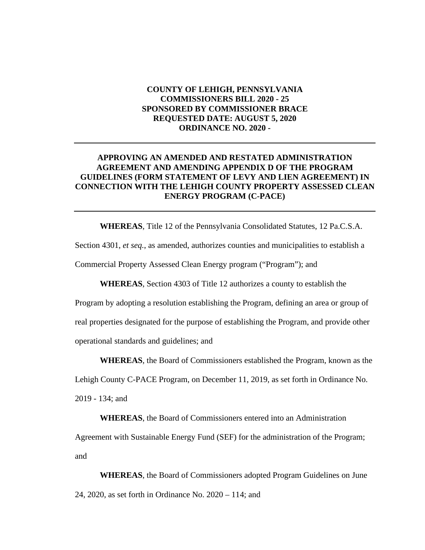### **COUNTY OF LEHIGH, PENNSYLVANIA COMMISSIONERS BILL 2020 - 25 SPONSORED BY COMMISSIONER BRACE REQUESTED DATE: AUGUST 5, 2020 ORDINANCE NO. 2020 -**

### **APPROVING AN AMENDED AND RESTATED ADMINISTRATION AGREEMENT AND AMENDING APPENDIX D OF THE PROGRAM GUIDELINES (FORM STATEMENT OF LEVY AND LIEN AGREEMENT) IN CONNECTION WITH THE LEHIGH COUNTY PROPERTY ASSESSED CLEAN ENERGY PROGRAM (C-PACE)**

**WHEREAS**, Title 12 of the Pennsylvania Consolidated Statutes, 12 Pa.C.S.A. Section 4301, *et seq.*, as amended, authorizes counties and municipalities to establish a Commercial Property Assessed Clean Energy program ("Program"); and

**WHEREAS**, Section 4303 of Title 12 authorizes a county to establish the

Program by adopting a resolution establishing the Program, defining an area or group of real properties designated for the purpose of establishing the Program, and provide other operational standards and guidelines; and

**WHEREAS**, the Board of Commissioners established the Program, known as the

Lehigh County C-PACE Program, on December 11, 2019, as set forth in Ordinance No.

2019 - 134; and

**WHEREAS**, the Board of Commissioners entered into an Administration

Agreement with Sustainable Energy Fund (SEF) for the administration of the Program; and

**WHEREAS**, the Board of Commissioners adopted Program Guidelines on June 24, 2020, as set forth in Ordinance No. 2020 – 114; and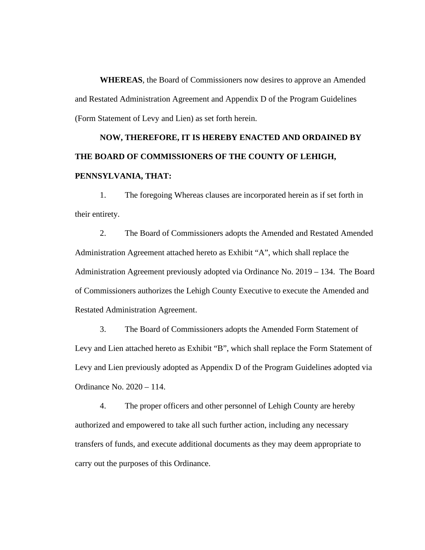**WHEREAS**, the Board of Commissioners now desires to approve an Amended and Restated Administration Agreement and Appendix D of the Program Guidelines (Form Statement of Levy and Lien) as set forth herein.

# **NOW, THEREFORE, IT IS HEREBY ENACTED AND ORDAINED BY THE BOARD OF COMMISSIONERS OF THE COUNTY OF LEHIGH, PENNSYLVANIA, THAT:**

1. The foregoing Whereas clauses are incorporated herein as if set forth in their entirety.

2. The Board of Commissioners adopts the Amended and Restated Amended Administration Agreement attached hereto as Exhibit "A", which shall replace the Administration Agreement previously adopted via Ordinance No. 2019 – 134. The Board of Commissioners authorizes the Lehigh County Executive to execute the Amended and Restated Administration Agreement.

3. The Board of Commissioners adopts the Amended Form Statement of Levy and Lien attached hereto as Exhibit "B", which shall replace the Form Statement of Levy and Lien previously adopted as Appendix D of the Program Guidelines adopted via Ordinance No. 2020 – 114.

4. The proper officers and other personnel of Lehigh County are hereby authorized and empowered to take all such further action, including any necessary transfers of funds, and execute additional documents as they may deem appropriate to carry out the purposes of this Ordinance.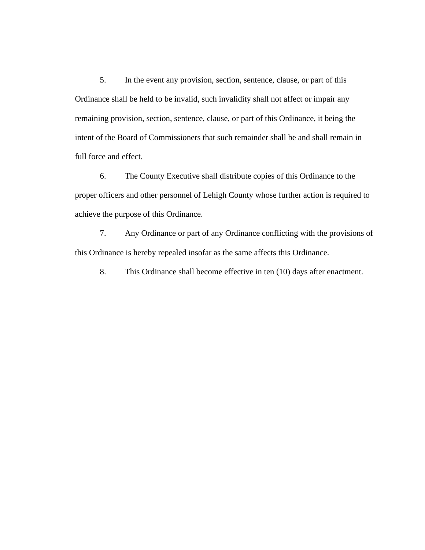5. In the event any provision, section, sentence, clause, or part of this Ordinance shall be held to be invalid, such invalidity shall not affect or impair any remaining provision, section, sentence, clause, or part of this Ordinance, it being the intent of the Board of Commissioners that such remainder shall be and shall remain in full force and effect.

6. The County Executive shall distribute copies of this Ordinance to the proper officers and other personnel of Lehigh County whose further action is required to achieve the purpose of this Ordinance.

7. Any Ordinance or part of any Ordinance conflicting with the provisions of this Ordinance is hereby repealed insofar as the same affects this Ordinance.

8. This Ordinance shall become effective in ten (10) days after enactment.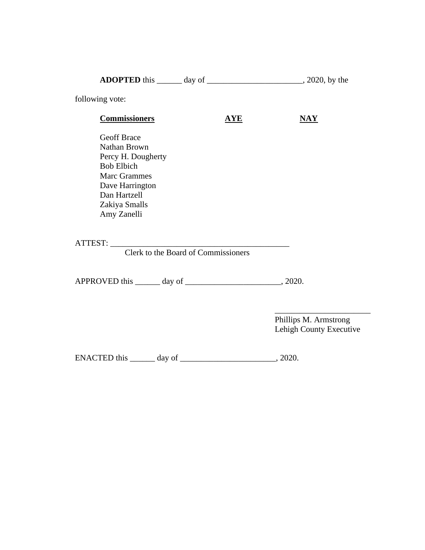| following vote:                                                                                                                                                         |                                     |                                                  |
|-------------------------------------------------------------------------------------------------------------------------------------------------------------------------|-------------------------------------|--------------------------------------------------|
| <b>Commissioners</b>                                                                                                                                                    | $\overline{\mathbf{AVE}}$           | $\overline{\textbf{NAY}}$                        |
| <b>Geoff Brace</b><br>Nathan Brown<br>Percy H. Dougherty<br><b>Bob Elbich</b><br><b>Marc Grammes</b><br>Dave Harrington<br>Dan Hartzell<br>Zakiya Smalls<br>Amy Zanelli |                                     |                                                  |
|                                                                                                                                                                         | Clerk to the Board of Commissioners |                                                  |
|                                                                                                                                                                         |                                     |                                                  |
|                                                                                                                                                                         |                                     | Phillips M. Armstrong<br>Lehigh County Executive |
| ENACTED this ________ day of ________                                                                                                                                   |                                     | $\frac{1}{2020}$                                 |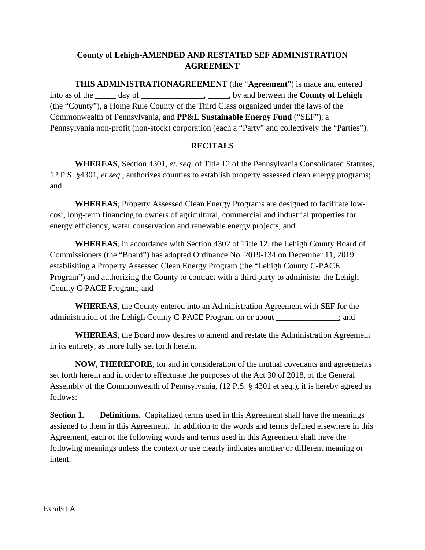# **County of Lehigh-AMENDED AND RESTATED SEF ADMINISTRATION AGREEMENT**

**THIS ADMINISTRATIONAGREEMENT** (the "**Agreement**") is made and entered into as of the \_\_\_\_\_ day of \_\_\_\_\_\_\_\_\_\_\_\_\_\_\_, \_\_\_\_\_, by and between the **County of Lehigh**  (the "County"), a Home Rule County of the Third Class organized under the laws of the Commonwealth of Pennsylvania, and **PP&L Sustainable Energy Fund** ("SEF"), a Pennsylvania non-profit (non-stock) corporation (each a "Party" and collectively the "Parties").

# **RECITALS**

**WHEREAS**, Section 4301, *et. seq*. of Title 12 of the Pennsylvania Consolidated Statutes, 12 P.S. §4301*, et seq*., authorizes counties to establish property assessed clean energy programs; and

**WHEREAS**, Property Assessed Clean Energy Programs are designed to facilitate lowcost, long-term financing to owners of agricultural, commercial and industrial properties for energy efficiency, water conservation and renewable energy projects; and

**WHEREAS**, in accordance with Section 4302 of Title 12, the Lehigh County Board of Commissioners (the "Board") has adopted Ordinance No. 2019-134 on December 11, 2019 establishing a Property Assessed Clean Energy Program (the "Lehigh County C-PACE Program") and authorizing the County to contract with a third party to administer the Lehigh County C-PACE Program; and

**WHEREAS**, the County entered into an Administration Agreement with SEF for the administration of the Lehigh County C-PACE Program on or about \_\_\_\_\_\_\_\_\_\_\_\_\_\_\_; and

**WHEREAS**, the Board now desires to amend and restate the Administration Agreement in its entirety, as more fully set forth herein.

**NOW, THEREFORE**, for and in consideration of the mutual covenants and agreements set forth herein and in order to effectuate the purposes of the Act 30 of 2018, of the General Assembly of the Commonwealth of Pennsylvania, (12 P.S. § 4301 et seq.), it is hereby agreed as follows:

**Section 1. Definitions.** Capitalized terms used in this Agreement shall have the meanings assigned to them in this Agreement. In addition to the words and terms defined elsewhere in this Agreement, each of the following words and terms used in this Agreement shall have the following meanings unless the context or use clearly indicates another or different meaning or intent: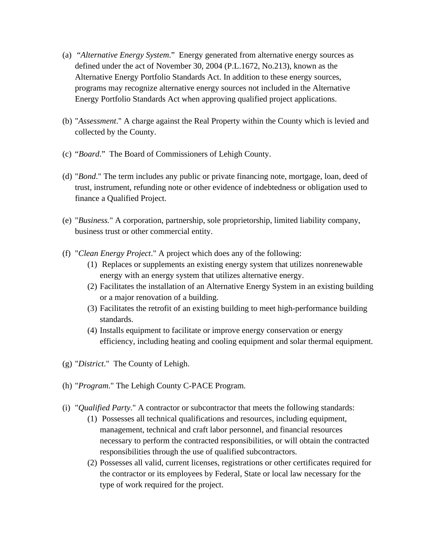- (a) "*Alternative Energy System*." Energy generated from alternative energy sources as defined under the act of November 30, 2004 (P.L.1672, No.213), known as the Alternative Energy Portfolio Standards Act. In addition to these energy sources, programs may recognize alternative energy sources not included in the Alternative Energy Portfolio Standards Act when approving qualified project applications.
- (b) "*Assessment*." A charge against the Real Property within the County which is levied and collected by the County.
- (c) "*Board*." The Board of Commissioners of Lehigh County.
- (d) "*Bond*." The term includes any public or private financing note, mortgage, loan, deed of trust, instrument, refunding note or other evidence of indebtedness or obligation used to finance a Qualified Project.
- (e) "*Business.*" A corporation, partnership, sole proprietorship, limited liability company, business trust or other commercial entity.
- (f) "*Clean Energy Project*." A project which does any of the following:
	- (1) Replaces or supplements an existing energy system that utilizes nonrenewable energy with an energy system that utilizes alternative energy.
	- (2) Facilitates the installation of an Alternative Energy System in an existing building or a major renovation of a building.
	- (3) Facilitates the retrofit of an existing building to meet high-performance building standards.
	- (4) Installs equipment to facilitate or improve energy conservation or energy efficiency, including heating and cooling equipment and solar thermal equipment.
- (g) "*District*." The County of Lehigh.
- (h) "*Program*." The Lehigh County C-PACE Program.
- (i) "*Qualified Party*." A contractor or subcontractor that meets the following standards:
	- (1) Possesses all technical qualifications and resources, including equipment, management, technical and craft labor personnel, and financial resources necessary to perform the contracted responsibilities, or will obtain the contracted responsibilities through the use of qualified subcontractors.
	- (2) Possesses all valid, current licenses, registrations or other certificates required for the contractor or its employees by Federal, State or local law necessary for the type of work required for the project.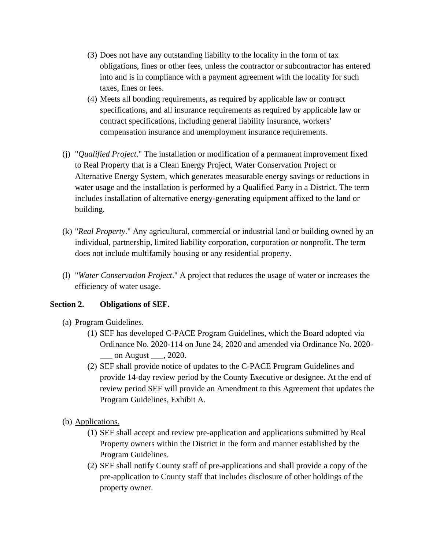- (3) Does not have any outstanding liability to the locality in the form of tax obligations, fines or other fees, unless the contractor or subcontractor has entered into and is in compliance with a payment agreement with the locality for such taxes, fines or fees.
- (4) Meets all bonding requirements, as required by applicable law or contract specifications, and all insurance requirements as required by applicable law or contract specifications, including general liability insurance, workers' compensation insurance and unemployment insurance requirements.
- (j) "*Qualified Project*." The installation or modification of a permanent improvement fixed to Real Property that is a Clean Energy Project, Water Conservation Project or Alternative Energy System, which generates measurable energy savings or reductions in water usage and the installation is performed by a Qualified Party in a District. The term includes installation of alternative energy-generating equipment affixed to the land or building.
- (k) "*Real Property*." Any agricultural, commercial or industrial land or building owned by an individual, partnership, limited liability corporation, corporation or nonprofit. The term does not include multifamily housing or any residential property.
- (l) "*Water Conservation Project*." A project that reduces the usage of water or increases the efficiency of water usage.

# **Section 2. Obligations of SEF.**

- (a) Program Guidelines.
	- (1) SEF has developed C-PACE Program Guidelines, which the Board adopted via Ordinance No. 2020-114 on June 24, 2020 and amended via Ordinance No. 2020- \_\_\_ on August \_\_\_, 2020.
	- (2) SEF shall provide notice of updates to the C-PACE Program Guidelines and provide 14-day review period by the County Executive or designee. At the end of review period SEF will provide an Amendment to this Agreement that updates the Program Guidelines, Exhibit A.
- (b) Applications.
	- (1) SEF shall accept and review pre-application and applications submitted by Real Property owners within the District in the form and manner established by the Program Guidelines.
	- (2) SEF shall notify County staff of pre-applications and shall provide a copy of the pre-application to County staff that includes disclosure of other holdings of the property owner.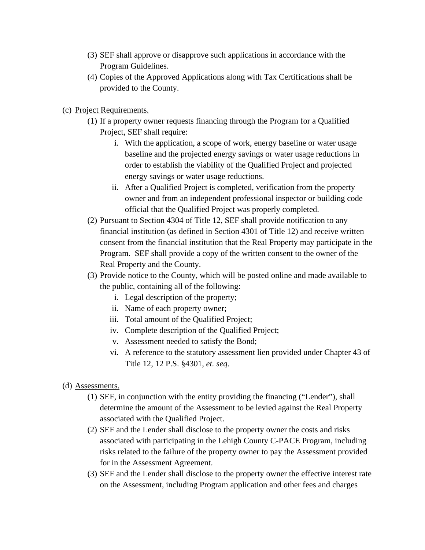- (3) SEF shall approve or disapprove such applications in accordance with the Program Guidelines.
- (4) Copies of the Approved Applications along with Tax Certifications shall be provided to the County.
- (c) Project Requirements.
	- (1) If a property owner requests financing through the Program for a Qualified Project, SEF shall require:
		- i. With the application, a scope of work, energy baseline or water usage baseline and the projected energy savings or water usage reductions in order to establish the viability of the Qualified Project and projected energy savings or water usage reductions.
		- ii. After a Qualified Project is completed, verification from the property owner and from an independent professional inspector or building code official that the Qualified Project was properly completed.
	- (2) Pursuant to Section 4304 of Title 12, SEF shall provide notification to any financial institution (as defined in Section 4301 of Title 12) and receive written consent from the financial institution that the Real Property may participate in the Program. SEF shall provide a copy of the written consent to the owner of the Real Property and the County.
	- (3) Provide notice to the County, which will be posted online and made available to the public, containing all of the following:
		- i. Legal description of the property;
		- ii. Name of each property owner;
		- iii. Total amount of the Qualified Project;
		- iv. Complete description of the Qualified Project;
		- v. Assessment needed to satisfy the Bond;
		- vi. A reference to the statutory assessment lien provided under Chapter 43 of Title 12, 12 P.S. §4301, *et. seq*.
- (d) Assessments.
	- (1) SEF, in conjunction with the entity providing the financing ("Lender"), shall determine the amount of the Assessment to be levied against the Real Property associated with the Qualified Project.
	- (2) SEF and the Lender shall disclose to the property owner the costs and risks associated with participating in the Lehigh County C-PACE Program, including risks related to the failure of the property owner to pay the Assessment provided for in the Assessment Agreement.
	- (3) SEF and the Lender shall disclose to the property owner the effective interest rate on the Assessment, including Program application and other fees and charges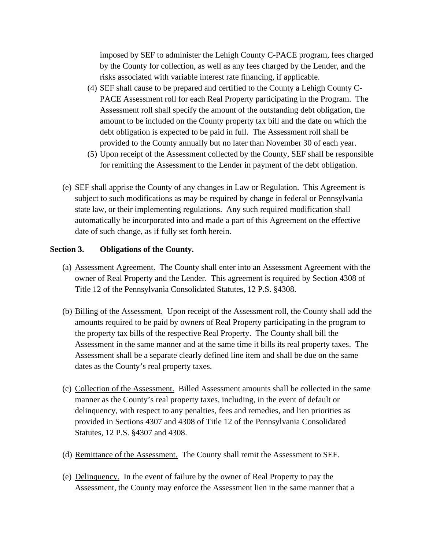imposed by SEF to administer the Lehigh County C-PACE program, fees charged by the County for collection, as well as any fees charged by the Lender, and the risks associated with variable interest rate financing, if applicable.

- (4) SEF shall cause to be prepared and certified to the County a Lehigh County C-PACE Assessment roll for each Real Property participating in the Program. The Assessment roll shall specify the amount of the outstanding debt obligation, the amount to be included on the County property tax bill and the date on which the debt obligation is expected to be paid in full. The Assessment roll shall be provided to the County annually but no later than November 30 of each year.
- (5) Upon receipt of the Assessment collected by the County, SEF shall be responsible for remitting the Assessment to the Lender in payment of the debt obligation.
- (e) SEF shall apprise the County of any changes in Law or Regulation. This Agreement is subject to such modifications as may be required by change in federal or Pennsylvania state law, or their implementing regulations. Any such required modification shall automatically be incorporated into and made a part of this Agreement on the effective date of such change, as if fully set forth herein.

### **Section 3. Obligations of the County.**

- (a) Assessment Agreement. The County shall enter into an Assessment Agreement with the owner of Real Property and the Lender. This agreement is required by Section 4308 of Title 12 of the Pennsylvania Consolidated Statutes, 12 P.S. §4308.
- (b) Billing of the Assessment. Upon receipt of the Assessment roll, the County shall add the amounts required to be paid by owners of Real Property participating in the program to the property tax bills of the respective Real Property. The County shall bill the Assessment in the same manner and at the same time it bills its real property taxes. The Assessment shall be a separate clearly defined line item and shall be due on the same dates as the County's real property taxes.
- (c) Collection of the Assessment. Billed Assessment amounts shall be collected in the same manner as the County's real property taxes, including, in the event of default or delinquency, with respect to any penalties, fees and remedies, and lien priorities as provided in Sections 4307 and 4308 of Title 12 of the Pennsylvania Consolidated Statutes, 12 P.S. §4307 and 4308.
- (d) Remittance of the Assessment. The County shall remit the Assessment to SEF.
- (e) Delinquency. In the event of failure by the owner of Real Property to pay the Assessment, the County may enforce the Assessment lien in the same manner that a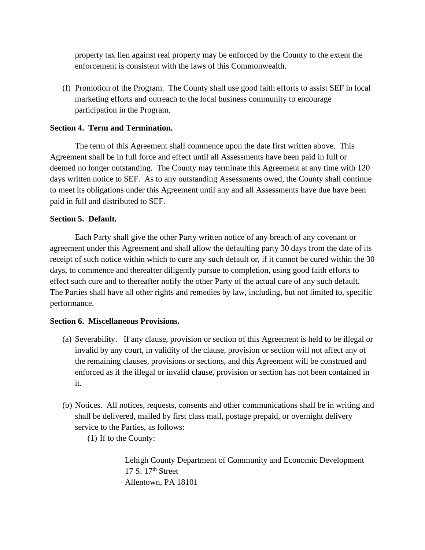property tax lien against real property may be enforced by the County to the extent the enforcement is consistent with the laws of this Commonwealth.

(f) Promotion of the Program. The County shall use good faith efforts to assist SEF in local marketing efforts and outreach to the local business community to encourage participation in the Program.

# **Section 4. Term and Termination.**

The term of this Agreement shall commence upon the date first written above. This Agreement shall be in full force and effect until all Assessments have been paid in full or deemed no longer outstanding. The County may terminate this Agreement at any time with 120 days written notice to SEF. As to any outstanding Assessments owed, the County shall continue to meet its obligations under this Agreement until any and all Assessments have due have been paid in full and distributed to SEF.

### **Section 5. Default.**

Each Party shall give the other Party written notice of any breach of any covenant or agreement under this Agreement and shall allow the defaulting party 30 days from the date of its receipt of such notice within which to cure any such default or, if it cannot be cured within the 30 days, to commence and thereafter diligently pursue to completion, using good faith efforts to effect such cure and to thereafter notify the other Party of the actual cure of any such default. The Parties shall have all other rights and remedies by law, including, but not limited to, specific performance.

### **Section 6. Miscellaneous Provisions.**

- (a) Severability. If any clause, provision or section of this Agreement is held to be illegal or invalid by any court, in validity of the clause, provision or section will not affect any of the remaining clauses, provisions or sections, and this Agreement will be construed and enforced as if the illegal or invalid clause, provision or section has not been contained in it.
- (b) Notices. All notices, requests, consents and other communications shall be in writing and shall be delivered, mailed by first class mail, postage prepaid, or overnight delivery service to the Parties, as follows:
	- (1) If to the County:

Lehigh County Department of Community and Economic Development  $17 S. 17<sup>th</sup> Street$ Allentown, PA 18101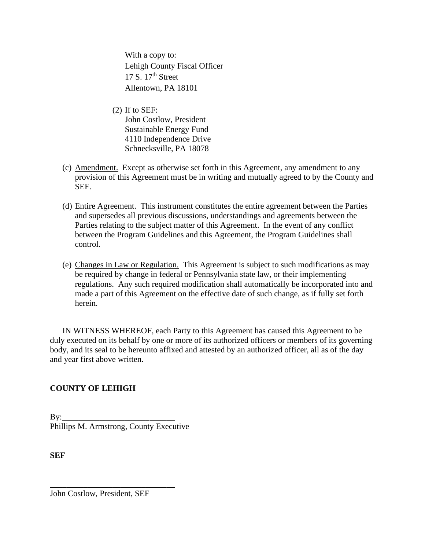With a copy to: Lehigh County Fiscal Officer 17 S.  $17<sup>th</sup>$  Street Allentown, PA 18101

- (2) If to SEF: John Costlow, President Sustainable Energy Fund 4110 Independence Drive Schnecksville, PA 18078
- (c) Amendment. Except as otherwise set forth in this Agreement, any amendment to any provision of this Agreement must be in writing and mutually agreed to by the County and SEF.
- (d) Entire Agreement. This instrument constitutes the entire agreement between the Parties and supersedes all previous discussions, understandings and agreements between the Parties relating to the subject matter of this Agreement. In the event of any conflict between the Program Guidelines and this Agreement, the Program Guidelines shall control.
- (e) Changes in Law or Regulation. This Agreement is subject to such modifications as may be required by change in federal or Pennsylvania state law, or their implementing regulations. Any such required modification shall automatically be incorporated into and made a part of this Agreement on the effective date of such change, as if fully set forth herein.

IN WITNESS WHEREOF, each Party to this Agreement has caused this Agreement to be duly executed on its behalf by one or more of its authorized officers or members of its governing body, and its seal to be hereunto affixed and attested by an authorized officer, all as of the day and year first above written.

# **COUNTY OF LEHIGH**

By:\_\_\_\_\_\_\_\_\_\_\_\_\_\_\_\_\_\_\_\_\_ \_\_\_\_\_\_ Phillips M. Armstrong, County Executive

**SEF**

John Costlow, President, SEF

**\_\_\_\_\_\_\_\_\_\_\_\_\_\_\_\_\_\_\_\_\_\_\_\_\_\_\_\_\_\_**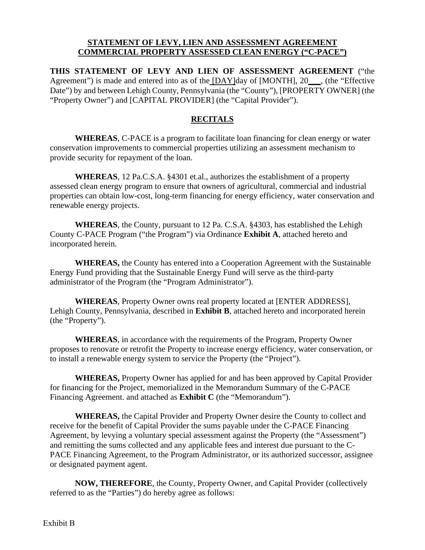### **STATEMENT OF LEVY, LIEN AND ASSESSMENT AGREEMENT COMMERCIAL PROPERTY ASSESSED CLEAN ENERGY ("C-PACE")**

**THIS STATEMENT OF LEVY AND LIEN OF ASSESSMENT AGREEMENT** ("the Agreement") is made and entered into as of the [DAY]day of [MONTH], 20 \_\_, (the "Effective Date") by and between Lehigh County, Pennsylvania (the "County"), [PROPERTY OWNER] (the "Property Owner") and [CAPITAL PROVIDER] (the "Capital Provider").

# **RECITALS**

**WHEREAS**, C-PACE is a program to facilitate loan financing for clean energy or water conservation improvements to commercial properties utilizing an assessment mechanism to provide security for repayment of the loan.

**WHEREAS**, 12 Pa.C.S.A. §4301 et.al., authorizes the establishment of a property assessed clean energy program to ensure that owners of agricultural, commercial and industrial properties can obtain low-cost, long-term financing for energy efficiency, water conservation and renewable energy projects.

**WHEREAS**, the County, pursuant to 12 Pa. C.S.A. §4303, has established the Lehigh County C-PACE Program ("the Program") via Ordinance **Exhibit A**, attached hereto and incorporated herein.

**WHEREAS,** the County has entered into a Cooperation Agreement with the Sustainable Energy Fund providing that the Sustainable Energy Fund will serve as the third-party administrator of the Program (the "Program Administrator").

**WHEREAS**, Property Owner owns real property located at [ENTER ADDRESS], Lehigh County, Pennsylvania, described in **Exhibit B**, attached hereto and incorporated herein (the "Property").

**WHEREAS**, in accordance with the requirements of the Program, Property Owner proposes to renovate or retrofit the Property to increase energy efficiency, water conservation, or to install a renewable energy system to service the Property (the "Project").

**WHEREAS,** Property Owner has applied for and has been approved by Capital Provider for financing for the Project, memorialized in the Memorandum Summary of the C-PACE Financing Agreement. and attached as **Exhibit C** (the "Memorandum").

**WHEREAS,** the Capital Provider and Property Owner desire the County to collect and receive for the benefit of Capital Provider the sums payable under the C-PACE Financing Agreement, by levying a voluntary special assessment against the Property (the "Assessment") and remitting the sums collected and any applicable fees and interest due pursuant to the C-PACE Financing Agreement, to the Program Administrator, or its authorized successor, assignee or designated payment agent.

**NOW, THEREFORE**, the County, Property Owner, and Capital Provider (collectively referred to as the "Parties") do hereby agree as follows: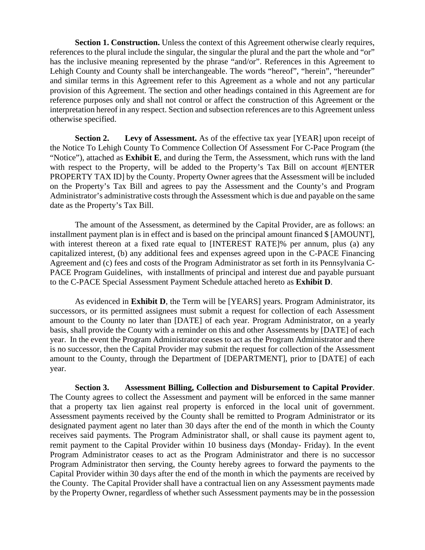**Section 1. Construction.** Unless the context of this Agreement otherwise clearly requires, references to the plural include the singular, the singular the plural and the part the whole and "or" has the inclusive meaning represented by the phrase "and/or". References in this Agreement to Lehigh County and County shall be interchangeable. The words "hereof", "herein", "hereunder" and similar terms in this Agreement refer to this Agreement as a whole and not any particular provision of this Agreement. The section and other headings contained in this Agreement are for reference purposes only and shall not control or affect the construction of this Agreement or the interpretation hereof in any respect. Section and subsection references are to this Agreement unless otherwise specified.

**Section 2. Levy of Assessment.** As of the effective tax year [YEAR] upon receipt of the Notice To Lehigh County To Commence Collection Of Assessment For C-Pace Program (the "Notice"), attached as **Exhibit E**, and during the Term, the Assessment, which runs with the land with respect to the Property, will be added to the Property's Tax Bill on account #[ENTER PROPERTY TAX ID] by the County. Property Owner agrees that the Assessment will be included on the Property's Tax Bill and agrees to pay the Assessment and the County's and Program Administrator's administrative costs through the Assessment which is due and payable on the same date as the Property's Tax Bill.

The amount of the Assessment, as determined by the Capital Provider, are as follows: an installment payment plan is in effect and is based on the principal amount financed \$ [AMOUNT], with interest thereon at a fixed rate equal to [INTEREST RATE]% per annum, plus (a) any capitalized interest, (b) any additional fees and expenses agreed upon in the C-PACE Financing Agreement and (c) fees and costs of the Program Administrator as set forth in its Pennsylvania C-PACE Program Guidelines, with installments of principal and interest due and payable pursuant to the C-PACE Special Assessment Payment Schedule attached hereto as **Exhibit D**.

As evidenced in **Exhibit D**, the Term will be [YEARS] years. Program Administrator, its successors, or its permitted assignees must submit a request for collection of each Assessment amount to the County no later than [DATE] of each year. Program Administrator, on a yearly basis, shall provide the County with a reminder on this and other Assessments by [DATE] of each year. In the event the Program Administrator ceases to act as the Program Administrator and there is no successor, then the Capital Provider may submit the request for collection of the Assessment amount to the County, through the Department of [DEPARTMENT], prior to [DATE] of each year.

**Section 3. Assessment Billing, Collection and Disbursement to Capital Provider**. The County agrees to collect the Assessment and payment will be enforced in the same manner that a property tax lien against real property is enforced in the local unit of government. Assessment payments received by the County shall be remitted to Program Administrator or its designated payment agent no later than 30 days after the end of the month in which the County receives said payments. The Program Administrator shall, or shall cause its payment agent to, remit payment to the Capital Provider within 10 business days (Monday- Friday). In the event Program Administrator ceases to act as the Program Administrator and there is no successor Program Administrator then serving, the County hereby agrees to forward the payments to the Capital Provider within 30 days after the end of the month in which the payments are received by the County. The Capital Provider shall have a contractual lien on any Assessment payments made by the Property Owner, regardless of whether such Assessment payments may be in the possession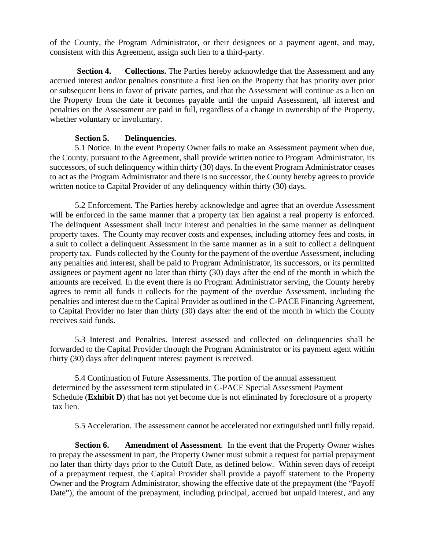of the County, the Program Administrator, or their designees or a payment agent, and may, consistent with this Agreement, assign such lien to a third-party.

**Section 4. Collections.** The Parties hereby acknowledge that the Assessment and any accrued interest and/or penalties constitute a first lien on the Property that has priority over prior or subsequent liens in favor of private parties, and that the Assessment will continue as a lien on the Property from the date it becomes payable until the unpaid Assessment, all interest and penalties on the Assessment are paid in full, regardless of a change in ownership of the Property, whether voluntary or involuntary.

#### **Section 5. Delinquencies**.

5.1 Notice. In the event Property Owner fails to make an Assessment payment when due, the County, pursuant to the Agreement, shall provide written notice to Program Administrator, its successors, of such delinquency within thirty (30) days. In the event Program Administrator ceases to act as the Program Administrator and there is no successor, the County hereby agrees to provide written notice to Capital Provider of any delinquency within thirty (30) days.

5.2 Enforcement. The Parties hereby acknowledge and agree that an overdue Assessment will be enforced in the same manner that a property tax lien against a real property is enforced. The delinquent Assessment shall incur interest and penalties in the same manner as delinquent property taxes. The County may recover costs and expenses, including attorney fees and costs, in a suit to collect a delinquent Assessment in the same manner as in a suit to collect a delinquent property tax. Funds collected by the County for the payment of the overdue Assessment, including any penalties and interest, shall be paid to Program Administrator, its successors, or its permitted assignees or payment agent no later than thirty (30) days after the end of the month in which the amounts are received. In the event there is no Program Administrator serving, the County hereby agrees to remit all funds it collects for the payment of the overdue Assessment, including the penalties and interest due to the Capital Provider as outlined in the C-PACE Financing Agreement, to Capital Provider no later than thirty (30) days after the end of the month in which the County receives said funds.

5.3 Interest and Penalties. Interest assessed and collected on delinquencies shall be forwarded to the Capital Provider through the Program Administrator or its payment agent within thirty (30) days after delinquent interest payment is received.

5.4 Continuation of Future Assessments. The portion of the annual assessment determined by the assessment term stipulated in C-PACE Special Assessment Payment Schedule (**Exhibit D**) that has not yet become due is not eliminated by foreclosure of a property tax lien.

5.5 Acceleration. The assessment cannot be accelerated nor extinguished until fully repaid.

**Section 6. Amendment of Assessment**. In the event that the Property Owner wishes to prepay the assessment in part, the Property Owner must submit a request for partial prepayment no later than thirty days prior to the Cutoff Date, as defined below. Within seven days of receipt of a prepayment request, the Capital Provider shall provide a payoff statement to the Property Owner and the Program Administrator, showing the effective date of the prepayment (the "Payoff Date"), the amount of the prepayment, including principal, accrued but unpaid interest, and any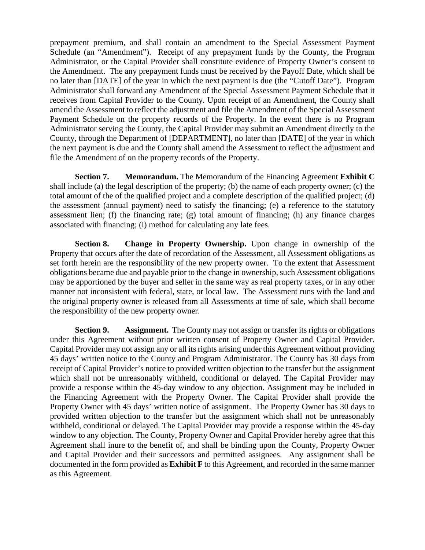prepayment premium, and shall contain an amendment to the Special Assessment Payment Schedule (an "Amendment"). Receipt of any prepayment funds by the County, the Program Administrator, or the Capital Provider shall constitute evidence of Property Owner's consent to the Amendment. The any prepayment funds must be received by the Payoff Date, which shall be no later than [DATE] of the year in which the next payment is due (the "Cutoff Date"). Program Administrator shall forward any Amendment of the Special Assessment Payment Schedule that it receives from Capital Provider to the County. Upon receipt of an Amendment, the County shall amend the Assessment to reflect the adjustment and file the Amendment of the Special Assessment Payment Schedule on the property records of the Property. In the event there is no Program Administrator serving the County, the Capital Provider may submit an Amendment directly to the County, through the Department of [DEPARTMENT], no later than [DATE] of the year in which the next payment is due and the County shall amend the Assessment to reflect the adjustment and file the Amendment of on the property records of the Property.

**Section 7. Memorandum.** The Memorandum of the Financing Agreement **Exhibit C** shall include (a) the legal description of the property; (b) the name of each property owner; (c) the total amount of the of the qualified project and a complete description of the qualified project; (d) the assessment (annual payment) need to satisfy the financing; (e) a reference to the statutory assessment lien; (f) the financing rate; (g) total amount of financing; (h) any finance charges associated with financing; (i) method for calculating any late fees.

**Section 8.** Change in Property Ownership. Upon change in ownership of the Property that occurs after the date of recordation of the Assessment, all Assessment obligations as set forth herein are the responsibility of the new property owner. To the extent that Assessment obligations became due and payable prior to the change in ownership, such Assessment obligations may be apportioned by the buyer and seller in the same way as real property taxes, or in any other manner not inconsistent with federal, state, or local law. The Assessment runs with the land and the original property owner is released from all Assessments at time of sale, which shall become the responsibility of the new property owner.

**Section 9. Assignment.** The County may not assign or transfer its rights or obligations under this Agreement without prior written consent of Property Owner and Capital Provider. Capital Provider may not assign any or all its rights arising under this Agreement without providing 45 days' written notice to the County and Program Administrator. The County has 30 days from receipt of Capital Provider's notice to provided written objection to the transfer but the assignment which shall not be unreasonably withheld, conditional or delayed. The Capital Provider may provide a response within the 45-day window to any objection. Assignment may be included in the Financing Agreement with the Property Owner. The Capital Provider shall provide the Property Owner with 45 days' written notice of assignment. The Property Owner has 30 days to provided written objection to the transfer but the assignment which shall not be unreasonably withheld, conditional or delayed. The Capital Provider may provide a response within the 45-day window to any objection. The County, Property Owner and Capital Provider hereby agree that this Agreement shall inure to the benefit of, and shall be binding upon the County, Property Owner and Capital Provider and their successors and permitted assignees. Any assignment shall be documented in the form provided as **Exhibit F** to this Agreement, and recorded in the same manner as this Agreement.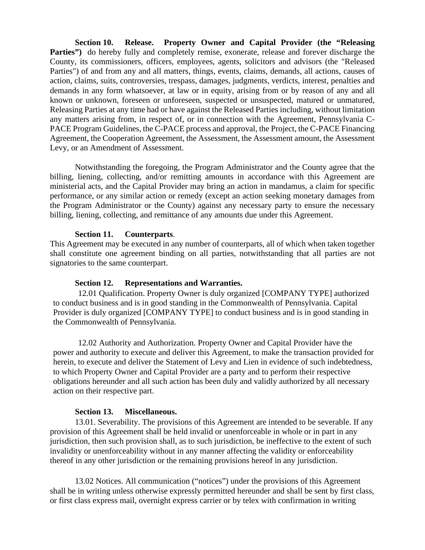**Section 10. Release. Property Owner and Capital Provider (the "Releasing Parties**") do hereby fully and completely remise, exonerate, release and forever discharge the County, its commissioners, officers, employees, agents, solicitors and advisors (the "Released Parties") of and from any and all matters, things, events, claims, demands, all actions, causes of action, claims, suits, controversies, trespass, damages, judgments, verdicts, interest, penalties and demands in any form whatsoever, at law or in equity, arising from or by reason of any and all known or unknown, foreseen or unforeseen, suspected or unsuspected, matured or unmatured, Releasing Parties at any time had or have against the Released Parties including, without limitation any matters arising from, in respect of, or in connection with the Agreement, Pennsylvania C-PACE Program Guidelines, the C-PACE process and approval, the Project, the C-PACE Financing Agreement, the Cooperation Agreement, the Assessment, the Assessment amount, the Assessment Levy, or an Amendment of Assessment.

Notwithstanding the foregoing, the Program Administrator and the County agree that the billing, liening, collecting, and/or remitting amounts in accordance with this Agreement are ministerial acts, and the Capital Provider may bring an action in mandamus, a claim for specific performance, or any similar action or remedy (except an action seeking monetary damages from the Program Administrator or the County) against any necessary party to ensure the necessary billing, liening, collecting, and remittance of any amounts due under this Agreement.

#### **Section 11. Counterparts**.

This Agreement may be executed in any number of counterparts, all of which when taken together shall constitute one agreement binding on all parties, notwithstanding that all parties are not signatories to the same counterpart.

#### **Section 12. Representations and Warranties.**

12.01 Qualification. Property Owner is duly organized [COMPANY TYPE] authorized to conduct business and is in good standing in the Commonwealth of Pennsylvania. Capital Provider is duly organized [COMPANY TYPE] to conduct business and is in good standing in the Commonwealth of Pennsylvania.

12.02 Authority and Authorization. Property Owner and Capital Provider have the power and authority to execute and deliver this Agreement, to make the transaction provided for herein, to execute and deliver the Statement of Levy and Lien in evidence of such indebtedness, to which Property Owner and Capital Provider are a party and to perform their respective obligations hereunder and all such action has been duly and validly authorized by all necessary action on their respective part.

#### **Section 13. Miscellaneous.**

13.01. Severability. The provisions of this Agreement are intended to be severable. If any provision of this Agreement shall be held invalid or unenforceable in whole or in part in any jurisdiction, then such provision shall, as to such jurisdiction, be ineffective to the extent of such invalidity or unenforceability without in any manner affecting the validity or enforceability thereof in any other jurisdiction or the remaining provisions hereof in any jurisdiction.

13.02 Notices. All communication ("notices") under the provisions of this Agreement shall be in writing unless otherwise expressly permitted hereunder and shall be sent by first class, or first class express mail, overnight express carrier or by telex with confirmation in writing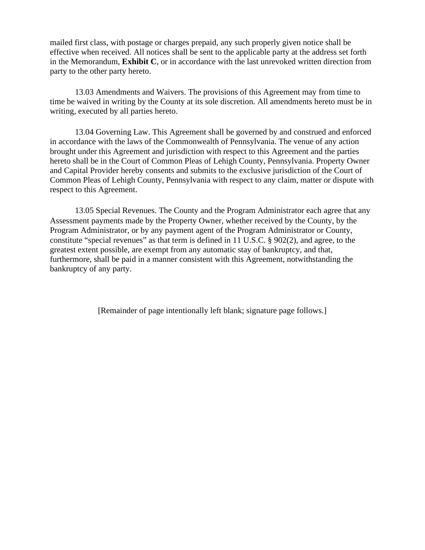mailed first class, with postage or charges prepaid, any such properly given notice shall be effective when received. All notices shall be sent to the applicable party at the address set forth in the Memorandum, **Exhibit C**, or in accordance with the last unrevoked written direction from party to the other party hereto.

13.03 Amendments and Waivers. The provisions of this Agreement may from time to time be waived in writing by the County at its sole discretion. All amendments hereto must be in writing, executed by all parties hereto.

13.04 Governing Law. This Agreement shall be governed by and construed and enforced in accordance with the laws of the Commonwealth of Pennsylvania. The venue of any action brought under this Agreement and jurisdiction with respect to this Agreement and the parties hereto shall be in the Court of Common Pleas of Lehigh County, Pennsylvania. Property Owner and Capital Provider hereby consents and submits to the exclusive jurisdiction of the Court of Common Pleas of Lehigh County, Pennsylvania with respect to any claim, matter or dispute with respect to this Agreement.

13.05 Special Revenues. The County and the Program Administrator each agree that any Assessment payments made by the Property Owner, whether received by the County, by the Program Administrator, or by any payment agent of the Program Administrator or County, constitute "special revenues" as that term is defined in 11 U.S.C. § 902(2), and agree, to the greatest extent possible, are exempt from any automatic stay of bankruptcy, and that, furthermore, shall be paid in a manner consistent with this Agreement, notwithstanding the bankruptcy of any party.

[Remainder of page intentionally left blank; signature page follows.]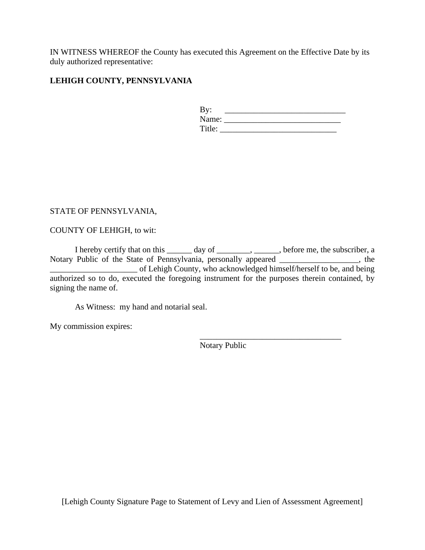IN WITNESS WHEREOF the County has executed this Agreement on the Effective Date by its duly authorized representative:

## **LEHIGH COUNTY, PENNSYLVANIA**

| By:    |  |
|--------|--|
| Name:  |  |
| Title: |  |

\_\_\_\_\_\_\_\_\_\_\_\_\_\_\_\_\_\_\_\_\_\_\_\_\_\_\_\_\_\_\_\_\_\_

### STATE OF PENNSYLVANIA,

COUNTY OF LEHIGH, to wit:

I hereby certify that on this \_\_\_\_\_\_ day of \_\_\_\_\_\_\_\_, \_\_\_\_\_, before me, the subscriber, a Notary Public of the State of Pennsylvania, personally appeared \_\_\_\_\_\_\_\_\_\_\_\_\_\_\_\_\_\_\_, the \_\_\_\_\_\_\_\_\_\_\_\_\_\_\_\_\_\_\_\_\_ of Lehigh County, who acknowledged himself/herself to be, and being authorized so to do, executed the foregoing instrument for the purposes therein contained, by signing the name of.

As Witness: my hand and notarial seal.

My commission expires:

Notary Public

[Lehigh County Signature Page to Statement of Levy and Lien of Assessment Agreement]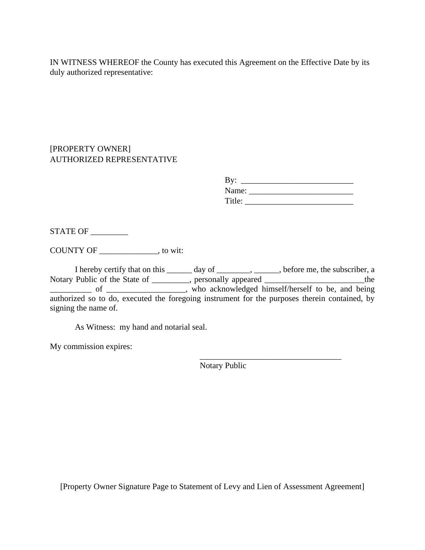IN WITNESS WHEREOF the County has executed this Agreement on the Effective Date by its duly authorized representative:

# [PROPERTY OWNER] AUTHORIZED REPRESENTATIVE

| By:    |  |
|--------|--|
| Name:  |  |
| Title: |  |

STATE OF

COUNTY OF \_\_\_\_\_\_\_\_\_\_\_\_\_\_, to wit:

I hereby certify that on this \_\_\_\_\_\_ day of \_\_\_\_\_\_\_\_, \_\_\_\_\_, before me, the subscriber, a Notary Public of the State of \_\_\_\_\_\_\_\_, personally appeared \_\_\_\_\_\_\_\_\_\_\_\_\_\_\_\_\_\_\_\_\_the of \_\_\_\_\_\_\_\_\_\_\_, who acknowledged himself/herself to be, and being authorized so to do, executed the foregoing instrument for the purposes therein contained, by signing the name of.

As Witness: my hand and notarial seal.

My commission expires:

\_\_\_\_\_\_\_\_\_\_\_\_\_\_\_\_\_\_\_\_\_\_\_\_\_\_\_\_\_\_\_\_\_\_ Notary Public

[Property Owner Signature Page to Statement of Levy and Lien of Assessment Agreement]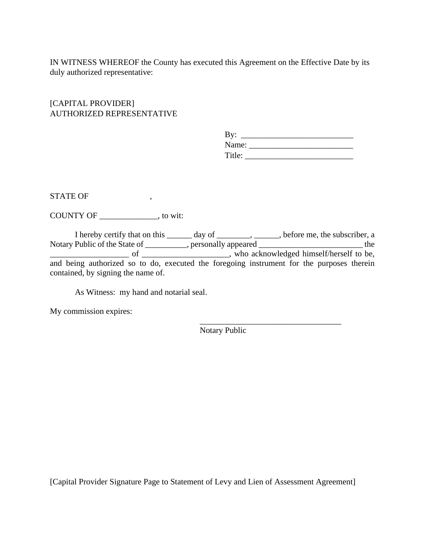IN WITNESS WHEREOF the County has executed this Agreement on the Effective Date by its duly authorized representative:

# [CAPITAL PROVIDER] AUTHORIZED REPRESENTATIVE

| By:    |  |  |  |
|--------|--|--|--|
| Name:  |  |  |  |
| Title: |  |  |  |

STATE OF  $\qquad \qquad ,$ 

COUNTY OF \_\_\_\_\_\_\_\_\_\_\_\_\_\_, to wit:

I hereby certify that on this \_\_\_\_\_\_ day of \_\_\_\_\_\_\_\_, \_\_\_\_\_, before me, the subscriber, a Notary Public of the State of \_\_\_\_\_\_\_\_\_\_, personally appeared \_\_\_\_\_\_\_\_\_\_\_\_\_\_\_\_\_\_\_\_\_\_\_\_\_\_\_\_\_ the \_\_\_\_\_\_\_\_\_\_\_\_\_\_\_\_\_\_\_ of \_\_\_\_\_\_\_\_\_\_\_\_\_\_\_\_\_\_\_\_\_, who acknowledged himself/herself to be, and being authorized so to do, executed the foregoing instrument for the purposes therein contained, by signing the name of.

As Witness: my hand and notarial seal.

My commission expires:

Notary Public

\_\_\_\_\_\_\_\_\_\_\_\_\_\_\_\_\_\_\_\_\_\_\_\_\_\_\_\_\_\_\_\_\_\_

[Capital Provider Signature Page to Statement of Levy and Lien of Assessment Agreement]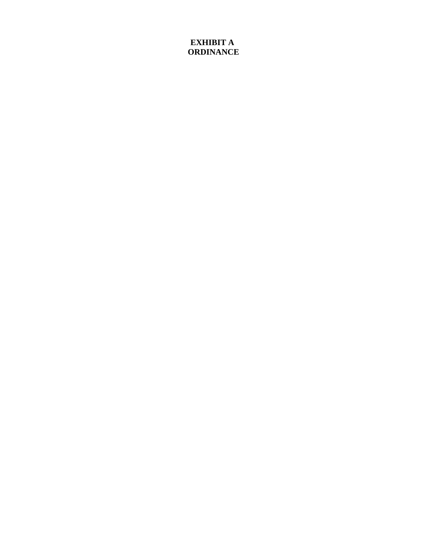# **EXHIBIT A ORDINANCE**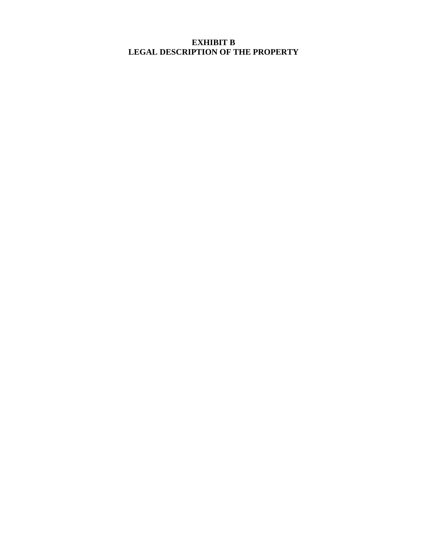# **EXHIBIT B LEGAL DESCRIPTION OF THE PROPERTY**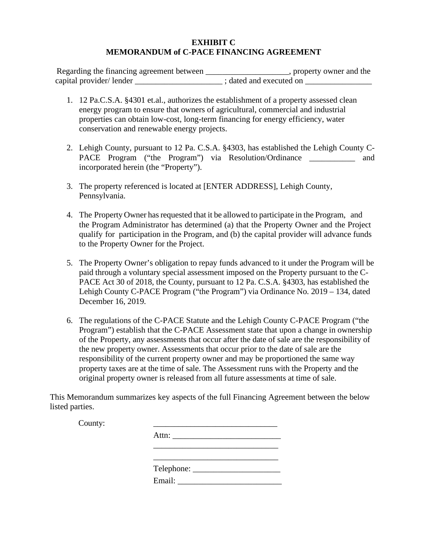### **EXHIBIT C MEMORANDUM of C-PACE FINANCING AGREEMENT**

| Regarding the financing agreement between | , property owner and the |
|-------------------------------------------|--------------------------|
| capital provider/lender                   | ; dated and executed on  |

- 1. 12 Pa.C.S.A. §4301 et.al., authorizes the establishment of a property assessed clean energy program to ensure that owners of agricultural, commercial and industrial properties can obtain low-cost, long-term financing for energy efficiency, water conservation and renewable energy projects.
- 2. Lehigh County, pursuant to 12 Pa. C.S.A. §4303, has established the Lehigh County C-PACE Program ("the Program") via Resolution/Ordinance and incorporated herein (the "Property").
- 3. The property referenced is located at [ENTER ADDRESS], Lehigh County, Pennsylvania.
- 4. The Property Owner has requested that it be allowed to participate in the Program, and the Program Administrator has determined (a) that the Property Owner and the Project qualify for participation in the Program, and (b) the capital provider will advance funds to the Property Owner for the Project.
- 5. The Property Owner's obligation to repay funds advanced to it under the Program will be paid through a voluntary special assessment imposed on the Property pursuant to the C-PACE Act 30 of 2018, the County, pursuant to 12 Pa. C.S.A. §4303, has established the Lehigh County C-PACE Program ("the Program") via Ordinance No. 2019 – 134, dated December 16, 2019.
- 6. The regulations of the C-PACE Statute and the Lehigh County C-PACE Program ("the Program") establish that the C-PACE Assessment state that upon a change in ownership of the Property, any assessments that occur after the date of sale are the responsibility of the new property owner. Assessments that occur prior to the date of sale are the responsibility of the current property owner and may be proportioned the same way property taxes are at the time of sale. The Assessment runs with the Property and the original property owner is released from all future assessments at time of sale.

This Memorandum summarizes key aspects of the full Financing Agreement between the below listed parties.

County: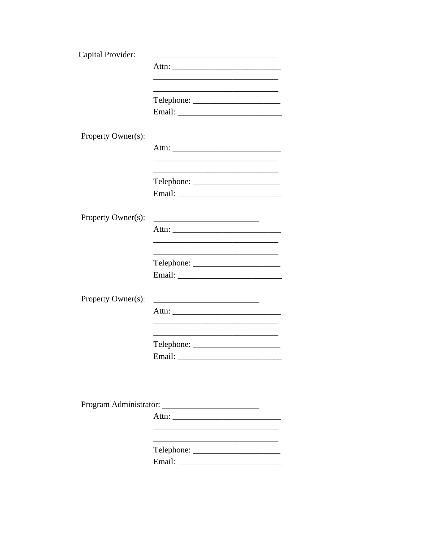| Capital Provider:<br>Telephone:                                         |
|-------------------------------------------------------------------------|
|                                                                         |
|                                                                         |
|                                                                         |
|                                                                         |
|                                                                         |
|                                                                         |
|                                                                         |
| Property Owner(s):<br><u> 1989 - Johann Barn, mars et al. (b. 1989)</u> |
|                                                                         |
|                                                                         |
|                                                                         |
|                                                                         |
|                                                                         |
|                                                                         |
|                                                                         |
| Property Owner(s):                                                      |
|                                                                         |
|                                                                         |
|                                                                         |
|                                                                         |
|                                                                         |
|                                                                         |
| Property Owner(s):                                                      |
|                                                                         |
|                                                                         |
|                                                                         |
| $\text{Telephone:}\n\quad \text{________}$                              |
|                                                                         |
|                                                                         |
|                                                                         |
|                                                                         |
|                                                                         |
|                                                                         |
|                                                                         |
|                                                                         |
|                                                                         |
|                                                                         |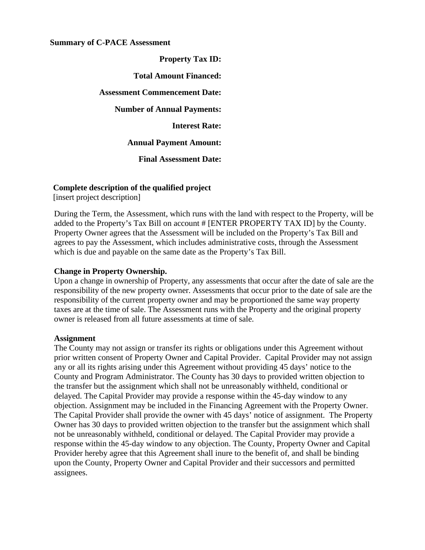#### **Summary of C-PACE Assessment**

**Property Tax ID: Total Amount Financed: Assessment Commencement Date: Number of Annual Payments: Interest Rate: Annual Payment Amount:**

**Final Assessment Date:**

### **Complete description of the qualified project**

[insert project description]

During the Term, the Assessment, which runs with the land with respect to the Property, will be added to the Property's Tax Bill on account # [ENTER PROPERTY TAX ID] by the County. Property Owner agrees that the Assessment will be included on the Property's Tax Bill and agrees to pay the Assessment, which includes administrative costs, through the Assessment which is due and payable on the same date as the Property's Tax Bill.

#### **Change in Property Ownership.**

Upon a change in ownership of Property, any assessments that occur after the date of sale are the responsibility of the new property owner. Assessments that occur prior to the date of sale are the responsibility of the current property owner and may be proportioned the same way property taxes are at the time of sale. The Assessment runs with the Property and the original property owner is released from all future assessments at time of sale.

#### **Assignment**

The County may not assign or transfer its rights or obligations under this Agreement without prior written consent of Property Owner and Capital Provider. Capital Provider may not assign any or all its rights arising under this Agreement without providing 45 days' notice to the County and Program Administrator. The County has 30 days to provided written objection to the transfer but the assignment which shall not be unreasonably withheld, conditional or delayed. The Capital Provider may provide a response within the 45-day window to any objection. Assignment may be included in the Financing Agreement with the Property Owner. The Capital Provider shall provide the owner with 45 days' notice of assignment. The Property Owner has 30 days to provided written objection to the transfer but the assignment which shall not be unreasonably withheld, conditional or delayed. The Capital Provider may provide a response within the 45-day window to any objection. The County, Property Owner and Capital Provider hereby agree that this Agreement shall inure to the benefit of, and shall be binding upon the County, Property Owner and Capital Provider and their successors and permitted assignees.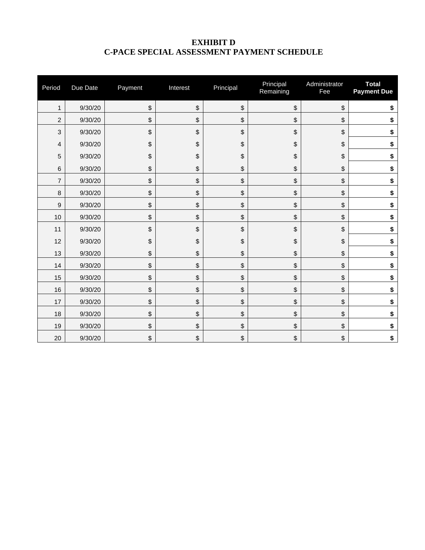# **EXHIBIT D C-PACE SPECIAL ASSESSMENT PAYMENT SCHEDULE**

| Period           | Due Date | Payment | Interest                                  | Principal | Principal<br>Remaining | Administrator<br>Fee | <b>Total</b><br><b>Payment Due</b> |
|------------------|----------|---------|-------------------------------------------|-----------|------------------------|----------------------|------------------------------------|
| $\mathbf{1}$     | 9/30/20  | \$      | $\boldsymbol{\mathsf{S}}$                 | \$        | \$                     | \$                   | \$                                 |
| 2                | 9/30/20  | \$      | $\sqrt[6]{\frac{1}{2}}$                   | \$        | \$                     | \$                   | \$                                 |
| 3                | 9/30/20  | \$      | $\, \, \raisebox{12pt}{$\scriptstyle \$}$ | \$        | \$                     | \$                   | \$                                 |
| 4                | 9/30/20  | \$      | \$                                        | \$        | \$                     | \$                   | \$                                 |
| 5                | 9/30/20  | \$      | $\boldsymbol{\mathsf{S}}$                 | \$        | \$                     | \$                   | \$                                 |
| 6                | 9/30/20  | \$      | $\boldsymbol{\mathsf{S}}$                 | \$        | \$                     | \$                   | \$                                 |
| $\overline{7}$   | 9/30/20  | \$      | $\sqrt[6]{\frac{1}{2}}$                   | \$        | \$                     | \$                   | \$                                 |
| 8                | 9/30/20  | \$      | \$                                        | \$        | \$                     | \$                   | \$                                 |
| $\boldsymbol{9}$ | 9/30/20  | \$      | $\, \, \raisebox{12pt}{$\scriptstyle \$}$ | \$        | \$                     | \$                   | \$                                 |
| 10               | 9/30/20  | \$      | $\sqrt[6]{\frac{1}{2}}$                   | \$        | \$                     | \$                   | \$                                 |
| 11               | 9/30/20  | \$      | \$                                        | \$        | \$                     | \$                   | \$                                 |
| 12               | 9/30/20  | \$      | $\, \, \raisebox{12pt}{$\scriptstyle \$}$ | \$        | \$                     | \$                   | \$                                 |
| 13               | 9/30/20  | \$      | $\sqrt[6]{\frac{1}{2}}$                   | \$        | \$                     | \$                   | \$                                 |
| 14               | 9/30/20  | \$      | $\sqrt[6]{\frac{1}{2}}$                   | \$        | \$                     | \$                   | \$                                 |
| 15               | 9/30/20  | \$      | $\boldsymbol{\mathsf{S}}$                 | \$        | \$                     | \$                   | \$                                 |
| 16               | 9/30/20  | \$      | $\boldsymbol{\mathsf{S}}$                 | \$        | \$                     | \$                   | \$                                 |
| 17               | 9/30/20  | \$      | \$                                        | \$        | \$                     | \$                   | \$                                 |
| 18               | 9/30/20  | \$      | $\boldsymbol{\mathsf{S}}$                 | \$        | \$                     | \$                   | \$                                 |
| 19               | 9/30/20  | \$      | $\, \, \raisebox{12pt}{$\scriptstyle \$}$ | \$        | \$                     | \$                   | \$                                 |
| 20               | 9/30/20  | \$      | \$                                        | \$        | \$                     | \$                   | \$                                 |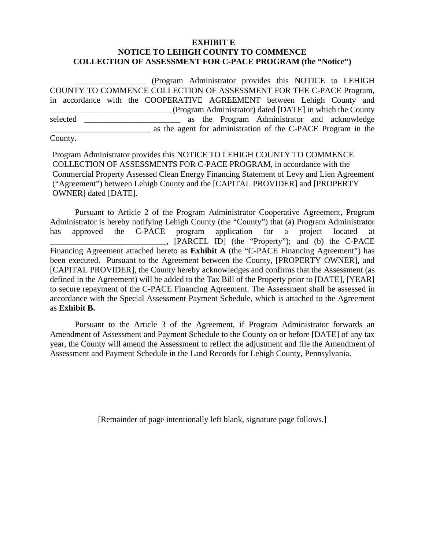### **EXHIBIT E NOTICE TO LEHIGH COUNTY TO COMMENCE COLLECTION OF ASSESSMENT FOR C-PACE PROGRAM (the "Notice")**

\_\_\_\_\_\_\_\_\_\_\_\_\_\_\_\_\_ (Program Administrator provides this NOTICE to LEHIGH COUNTY TO COMMENCE COLLECTION OF ASSESSMENT FOR THE C-PACE Program, in accordance with the COOPERATIVE AGREEMENT between Lehigh County and \_\_\_\_\_\_\_\_\_\_\_\_\_\_\_\_\_\_\_\_\_\_\_\_\_\_\_\_\_ (Program Administrator) dated [DATE] in which the County selected as the Program Administrator and acknowledge \_\_\_\_\_\_\_\_\_\_\_\_\_\_\_\_\_\_\_\_\_\_\_\_ as the agent for administration of the C-PACE Program in the

County.

Program Administrator provides this NOTICE TO LEHIGH COUNTY TO COMMENCE COLLECTION OF ASSESSMENTS FOR C-PACE PROGRAM, in accordance with the Commercial Property Assessed Clean Energy Financing Statement of Levy and Lien Agreement ("Agreement") between Lehigh County and the [CAPITAL PROVIDER] and [PROPERTY OWNER] dated [DATE].

Pursuant to Article 2 of the Program Administrator Cooperative Agreement, Program Administrator is hereby notifying Lehigh County (the "County") that (a) Program Administrator has approved the C-PACE program application for a project located at \_\_\_\_\_\_\_\_\_\_\_\_\_\_\_\_\_\_\_\_\_\_\_\_\_\_\_\_, [PARCEL ID] (the "Property"); and (b) the C-PACE Financing Agreement attached hereto as **Exhibit A** (the "C-PACE Financing Agreement") has been executed. Pursuant to the Agreement between the County, [PROPERTY OWNER], and [CAPITAL PROVIDER], the County hereby acknowledges and confirms that the Assessment (as defined in the Agreement) will be added to the Tax Bill of the Property prior to [DATE], [YEAR] to secure repayment of the C-PACE Financing Agreement. The Assessment shall be assessed in accordance with the Special Assessment Payment Schedule, which is attached to the Agreement as **Exhibit B.**

Pursuant to the Article 3 of the Agreement, if Program Administrator forwards an Amendment of Assessment and Payment Schedule to the County on or before [DATE] of any tax year, the County will amend the Assessment to reflect the adjustment and file the Amendment of Assessment and Payment Schedule in the Land Records for Lehigh County, Pennsylvania.

[Remainder of page intentionally left blank, signature page follows.]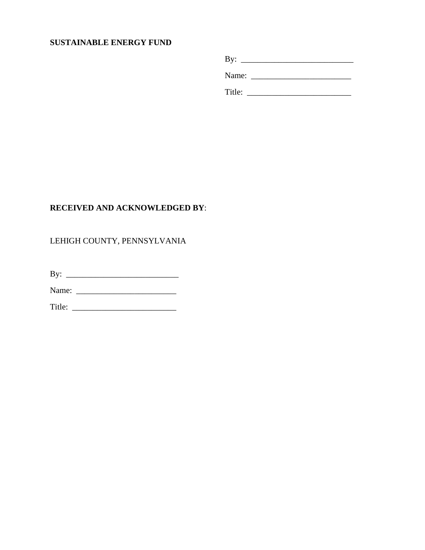# **SUSTAINABLE ENERGY FUND**

By: \_\_\_\_\_\_\_\_\_\_\_\_\_\_\_\_\_\_\_\_\_\_\_\_\_\_\_ Name: \_\_\_\_\_\_\_\_\_\_\_\_\_\_\_\_\_\_\_\_\_\_\_\_ Title: \_\_\_\_\_\_\_\_\_\_\_\_\_\_\_\_\_\_\_\_\_\_\_\_\_

# **RECEIVED AND ACKNOWLEDGED BY**:

# LEHIGH COUNTY, PENNSYLVANIA

By: \_\_\_\_\_\_\_\_\_\_\_\_\_\_\_\_\_\_\_\_\_\_\_\_\_\_\_

Name: \_\_\_\_\_\_\_\_\_\_\_\_\_\_\_\_\_\_\_\_\_\_\_\_

Title: \_\_\_\_\_\_\_\_\_\_\_\_\_\_\_\_\_\_\_\_\_\_\_\_\_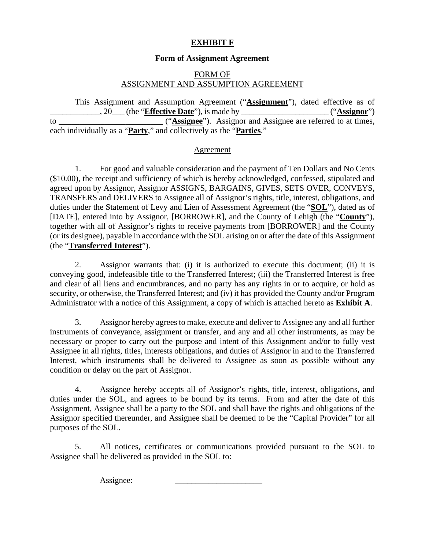# **EXHIBIT F**

### **Form of Assignment Agreement**

# FORM OF ASSIGNMENT AND ASSUMPTION AGREEMENT

This Assignment and Assumption Agreement ("**Assignment**"), dated effective as of \_\_\_\_\_\_\_\_\_\_\_\_, 20\_\_\_ (the "**Effective Date**"), is made by \_\_\_\_\_\_\_\_\_\_\_\_\_\_\_\_\_\_\_\_\_ ("**Assignor**") to \_\_\_\_\_\_\_\_\_\_\_\_\_\_\_\_\_\_\_\_\_\_\_\_\_ ("**Assignee**"). Assignor and Assignee are referred to at times, each individually as a "**Party**," and collectively as the "**Parties**."

#### Agreement

1. For good and valuable consideration and the payment of Ten Dollars and No Cents (\$10.00), the receipt and sufficiency of which is hereby acknowledged, confessed, stipulated and agreed upon by Assignor, Assignor ASSIGNS, BARGAINS, GIVES, SETS OVER, CONVEYS, TRANSFERS and DELIVERS to Assignee all of Assignor's rights, title, interest, obligations, and duties under the Statement of Levy and Lien of Assessment Agreement (the "**SOL**"), dated as of [DATE], entered into by Assignor, [BORROWER], and the County of Lehigh (the "**County**"), together with all of Assignor's rights to receive payments from [BORROWER] and the County (or its designee), payable in accordance with the SOL arising on or after the date of this Assignment (the "**Transferred Interest**").

2. Assignor warrants that: (i) it is authorized to execute this document; (ii) it is conveying good, indefeasible title to the Transferred Interest; (iii) the Transferred Interest is free and clear of all liens and encumbrances, and no party has any rights in or to acquire, or hold as security, or otherwise, the Transferred Interest; and (iv) it has provided the County and/or Program Administrator with a notice of this Assignment, a copy of which is attached hereto as **Exhibit A**.

3. Assignor hereby agrees to make, execute and deliver to Assignee any and all further instruments of conveyance, assignment or transfer, and any and all other instruments, as may be necessary or proper to carry out the purpose and intent of this Assignment and/or to fully vest Assignee in all rights, titles, interests obligations, and duties of Assignor in and to the Transferred Interest, which instruments shall be delivered to Assignee as soon as possible without any condition or delay on the part of Assignor.

4. Assignee hereby accepts all of Assignor's rights, title, interest, obligations, and duties under the SOL, and agrees to be bound by its terms. From and after the date of this Assignment, Assignee shall be a party to the SOL and shall have the rights and obligations of the Assignor specified thereunder, and Assignee shall be deemed to be the "Capital Provider" for all purposes of the SOL.

5. All notices, certificates or communications provided pursuant to the SOL to Assignee shall be delivered as provided in the SOL to:

Assignee: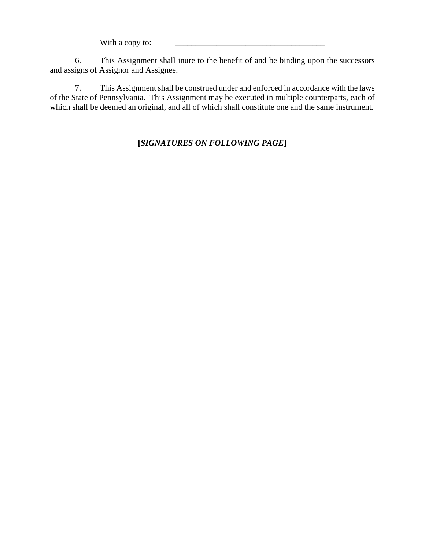With a copy to:

6. This Assignment shall inure to the benefit of and be binding upon the successors and assigns of Assignor and Assignee.

7. This Assignment shall be construed under and enforced in accordance with the laws of the State of Pennsylvania. This Assignment may be executed in multiple counterparts, each of which shall be deemed an original, and all of which shall constitute one and the same instrument.

# **[***SIGNATURES ON FOLLOWING PAGE***]**